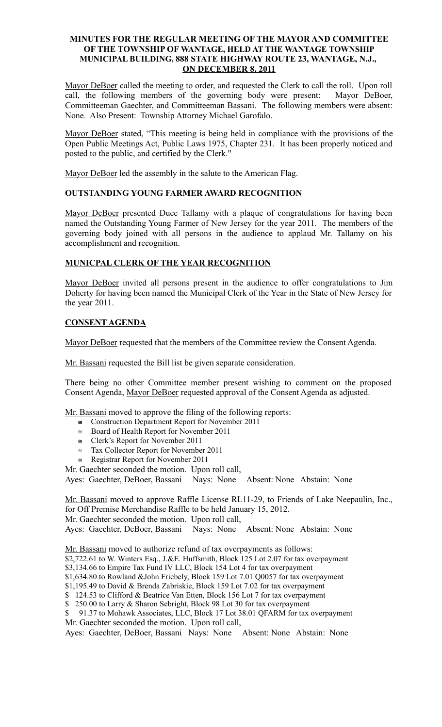## **MINUTES FOR THE REGULAR MEETING OF THE MAYOR AND COMMITTEE OF THE TOWNSHIP OF WANTAGE, HELD AT THE WANTAGE TOWNSHIP MUNICIPAL BUILDING, 888 STATE HIGHWAY ROUTE 23, WANTAGE, N.J., ON DECEMBER 8, 2011**

Mayor DeBoer called the meeting to order, and requested the Clerk to call the roll. Upon roll call, the following members of the governing body were present: Mayor DeBoer, Committeeman Gaechter, and Committeeman Bassani. The following members were absent: None. Also Present: Township Attorney Michael Garofalo.

Mayor DeBoer stated, "This meeting is being held in compliance with the provisions of the Open Public Meetings Act, Public Laws 1975, Chapter 231. It has been properly noticed and posted to the public, and certified by the Clerk."

Mayor DeBoer led the assembly in the salute to the American Flag.

# **OUTSTANDING YOUNG FARMER AWARD RECOGNITION**

Mayor DeBoer presented Duce Tallamy with a plaque of congratulations for having been named the Outstanding Young Farmer of New Jersey for the year 2011. The members of the governing body joined with all persons in the audience to applaud Mr. Tallamy on his accomplishment and recognition.

## **MUNICPAL CLERK OF THE YEAR RECOGNITION**

Mayor DeBoer invited all persons present in the audience to offer congratulations to Jim Doherty for having been named the Municipal Clerk of the Year in the State of New Jersey for the year 2011.

# **CONSENT AGENDA**

Mayor DeBoer requested that the members of the Committee review the Consent Agenda.

Mr. Bassani requested the Bill list be given separate consideration.

There being no other Committee member present wishing to comment on the proposed Consent Agenda, Mayor DeBoer requested approval of the Consent Agenda as adjusted.

Mr. Bassani moved to approve the filing of the following reports:

- Construction Department Report for November 2011
- Board of Health Report for November 2011
- $\approx$  Clerk's Report for November 2011
- $\approx$  Tax Collector Report for November 2011
- $\cong$  Registrar Report for November 2011
- Mr. Gaechter seconded the motion. Upon roll call,

Ayes: Gaechter, DeBoer, Bassani Nays: None Absent: None Abstain: None

Mr. Bassani moved to approve Raffle License RL11-29, to Friends of Lake Neepaulin, Inc., for Off Premise Merchandise Raffle to be held January 15, 2012. Mr. Gaechter seconded the motion. Upon roll call,

Ayes: Gaechter, DeBoer, Bassani Nays: None Absent: None Abstain: None

Mr. Bassani moved to authorize refund of tax overpayments as follows:

\$2,722.61 to W. Winters Esq., J.&E. Huffsmith, Block 125 Lot 2.07 for tax overpayment

\$3,134.66 to Empire Tax Fund IV LLC, Block 154 Lot 4 for tax overpayment

\$1,634.80 to Rowland &John Friebely, Block 159 Lot 7.01 Q0057 for tax overpayment

\$1,195.49 to David & Brenda Zabriskie, Block 159 Lot 7.02 for tax overpayment

\$ 124.53 to Clifford & Beatrice Van Etten, Block 156 Lot 7 for tax overpayment

\$ 250.00 to Larry & Sharon Sebright, Block 98 Lot 30 for tax overpayment

\$ 91.37 to Mohawk Associates, LLC, Block 17 Lot 38.01 QFARM for tax overpayment Mr. Gaechter seconded the motion. Upon roll call,

Ayes: Gaechter, DeBoer, Bassani Nays: None Absent: None Abstain: None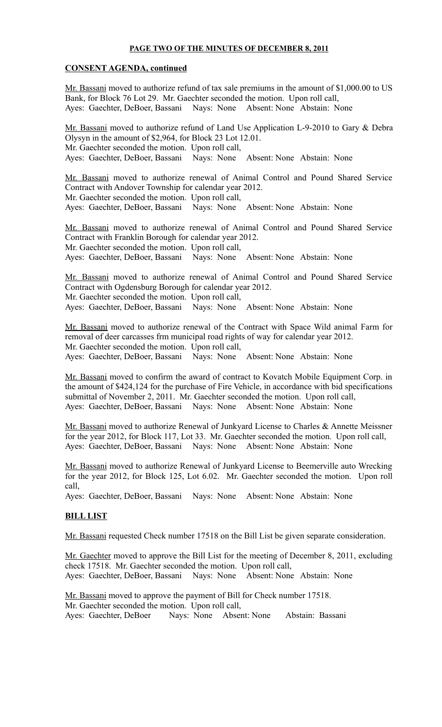### **PAGE TWO OF THE MINUTES OF DECEMBER 8, 2011**

## **CONSENT AGENDA, continued**

Mr. Bassani moved to authorize refund of tax sale premiums in the amount of \$1,000.00 to US Bank, for Block 76 Lot 29. Mr. Gaechter seconded the motion. Upon roll call, Ayes: Gaechter, DeBoer, Bassani Nays: None Absent: None Abstain: None

Mr. Bassani moved to authorize refund of Land Use Application L-9-2010 to Gary & Debra Olysyn in the amount of \$2,964, for Block 23 Lot 12.01. Mr. Gaechter seconded the motion. Upon roll call, Ayes: Gaechter, DeBoer, Bassani Nays: None Absent: None Abstain: None

Mr. Bassani moved to authorize renewal of Animal Control and Pound Shared Service Contract with Andover Township for calendar year 2012. Mr. Gaechter seconded the motion. Upon roll call, Ayes: Gaechter, DeBoer, Bassani Nays: None Absent: None Abstain: None

Mr. Bassani moved to authorize renewal of Animal Control and Pound Shared Service Contract with Franklin Borough for calendar year 2012. Mr. Gaechter seconded the motion. Upon roll call, Ayes: Gaechter, DeBoer, Bassani Nays: None Absent: None Abstain: None

Mr. Bassani moved to authorize renewal of Animal Control and Pound Shared Service Contract with Ogdensburg Borough for calendar year 2012. Mr. Gaechter seconded the motion. Upon roll call, Ayes: Gaechter, DeBoer, Bassani Nays: None Absent: None Abstain: None

Mr. Bassani moved to authorize renewal of the Contract with Space Wild animal Farm for removal of deer carcasses frm municipal road rights of way for calendar year 2012. Mr. Gaechter seconded the motion. Upon roll call, Ayes: Gaechter, DeBoer, Bassani Nays: None Absent: None Abstain: None

Mr. Bassani moved to confirm the award of contract to Kovatch Mobile Equipment Corp. in the amount of \$424,124 for the purchase of Fire Vehicle, in accordance with bid specifications submittal of November 2, 2011. Mr. Gaechter seconded the motion. Upon roll call, Ayes: Gaechter, DeBoer, Bassani Nays: None Absent: None Abstain: None

Mr. Bassani moved to authorize Renewal of Junkyard License to Charles & Annette Meissner for the year 2012, for Block 117, Lot 33. Mr. Gaechter seconded the motion. Upon roll call, Ayes: Gaechter, DeBoer, Bassani Nays: None Absent: None Abstain: None

Mr. Bassani moved to authorize Renewal of Junkyard License to Beemerville auto Wrecking for the year 2012, for Block 125, Lot 6.02. Mr. Gaechter seconded the motion. Upon roll call,

Ayes: Gaechter, DeBoer, Bassani Nays: None Absent: None Abstain: None

## **BILL LIST**

Mr. Bassani requested Check number 17518 on the Bill List be given separate consideration.

Mr. Gaechter moved to approve the Bill List for the meeting of December 8, 2011, excluding check 17518. Mr. Gaechter seconded the motion. Upon roll call, Ayes: Gaechter, DeBoer, Bassani Nays: None Absent: None Abstain: None

Mr. Bassani moved to approve the payment of Bill for Check number 17518. Mr. Gaechter seconded the motion. Upon roll call, Ayes: Gaechter, DeBoer Nays: None Absent: None Abstain: Bassani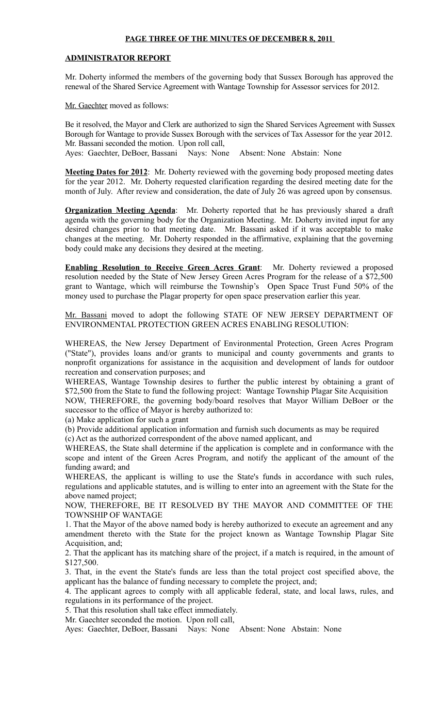#### **PAGE THREE OF THE MINUTES OF DECEMBER 8, 2011**

#### **ADMINISTRATOR REPORT**

Mr. Doherty informed the members of the governing body that Sussex Borough has approved the renewal of the Shared Service Agreement with Wantage Township for Assessor services for 2012.

Mr. Gaechter moved as follows:

Be it resolved, the Mayor and Clerk are authorized to sign the Shared Services Agreement with Sussex Borough for Wantage to provide Sussex Borough with the services of Tax Assessor for the year 2012. Mr. Bassani seconded the motion. Upon roll call, Ayes: Gaechter, DeBoer, Bassani Nays: None Absent: None Abstain: None

**Meeting Dates for 2012**: Mr. Doherty reviewed with the governing body proposed meeting dates for the year 2012. Mr. Doherty requested clarification regarding the desired meeting date for the month of July. After review and consideration, the date of July 26 was agreed upon by consensus.

**Organization Meeting Agenda**: Mr. Doherty reported that he has previously shared a draft agenda with the governing body for the Organization Meeting. Mr. Doherty invited input for any desired changes prior to that meeting date. Mr. Bassani asked if it was acceptable to make changes at the meeting. Mr. Doherty responded in the affirmative, explaining that the governing body could make any decisions they desired at the meeting.

**Enabling Resolution to Receive Green Acres Grant**: Mr. Doherty reviewed a proposed resolution needed by the State of New Jersey Green Acres Program for the release of a \$72,500 grant to Wantage, which will reimburse the Township's Open Space Trust Fund 50% of the money used to purchase the Plagar property for open space preservation earlier this year.

Mr. Bassani moved to adopt the following STATE OF NEW JERSEY DEPARTMENT OF ENVIRONMENTAL PROTECTION GREEN ACRES ENABLING RESOLUTION:

WHEREAS, the New Jersey Department of Environmental Protection, Green Acres Program ("State"), provides loans and/or grants to municipal and county governments and grants to nonprofit organizations for assistance in the acquisition and development of lands for outdoor recreation and conservation purposes; and

WHEREAS, Wantage Township desires to further the public interest by obtaining a grant of \$72,500 from the State to fund the following project: Wantage Township Plagar Site Acquisition NOW, THEREFORE, the governing body/board resolves that Mayor William DeBoer or the successor to the office of Mayor is hereby authorized to:

(a) Make application for such a grant

(b) Provide additional application information and furnish such documents as may be required (c) Act as the authorized correspondent of the above named applicant, and

WHEREAS, the State shall determine if the application is complete and in conformance with the scope and intent of the Green Acres Program, and notify the applicant of the amount of the funding award; and

WHEREAS, the applicant is willing to use the State's funds in accordance with such rules, regulations and applicable statutes, and is willing to enter into an agreement with the State for the above named project;

NOW, THEREFORE, BE IT RESOLVED BY THE MAYOR AND COMMITTEE OF THE TOWNSHIP OF WANTAGE

1. That the Mayor of the above named body is hereby authorized to execute an agreement and any amendment thereto with the State for the project known as Wantage Township Plagar Site Acquisition, and;

2. That the applicant has its matching share of the project, if a match is required, in the amount of \$127,500.

3. That, in the event the State's funds are less than the total project cost specified above, the applicant has the balance of funding necessary to complete the project, and;

4. The applicant agrees to comply with all applicable federal, state, and local laws, rules, and regulations in its performance of the project.

5. That this resolution shall take effect immediately.

Mr. Gaechter seconded the motion. Upon roll call,

Ayes: Gaechter, DeBoer, Bassani Nays: None Absent: None Abstain: None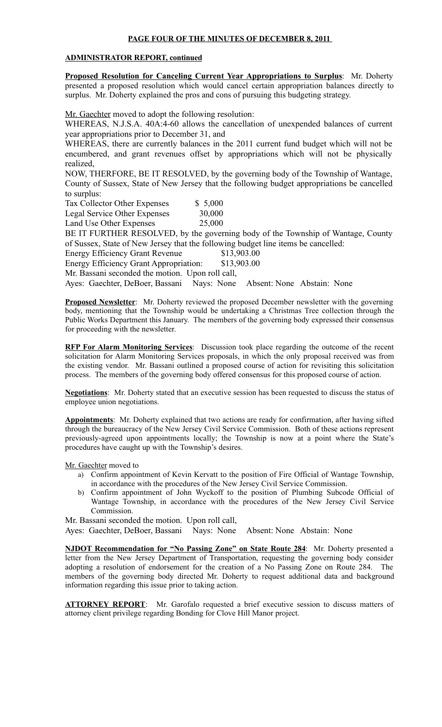## **PAGE FOUR OF THE MINUTES OF DECEMBER 8, 2011**

#### **ADMINISTRATOR REPORT, continued**

**Proposed Resolution for Canceling Current Year Appropriations to Surplus**: Mr. Doherty presented a proposed resolution which would cancel certain appropriation balances directly to surplus. Mr. Doherty explained the pros and cons of pursuing this budgeting strategy.

Mr. Gaechter moved to adopt the following resolution:

WHEREAS, N.J.S.A. 40A:4-60 allows the cancellation of unexpended balances of current year appropriations prior to December 31, and

WHEREAS, there are currently balances in the 2011 current fund budget which will not be encumbered, and grant revenues offset by appropriations which will not be physically realized,

NOW, THERFORE, BE IT RESOLVED, by the governing body of the Township of Wantage, County of Sussex, State of New Jersey that the following budget appropriations be cancelled to surplus:

| Tax Collector Other Expenses | \$5,000 |
|------------------------------|---------|
| Legal Service Other Expenses | 30,000  |
| Land Use Other Expenses      | 25,000  |

BE IT FURTHER RESOLVED, by the governing body of the Township of Wantage, County of Sussex, State of New Jersey that the following budget line items be cancelled:

Energy Efficiency Grant Revenue \$13,903.00

Energy Efficiency Grant Appropriation: \$13,903.00

Mr. Bassani seconded the motion. Upon roll call,

Ayes: Gaechter, DeBoer, Bassani Nays: None Absent: None Abstain: None

**Proposed Newsletter**: Mr. Doherty reviewed the proposed December newsletter with the governing body, mentioning that the Township would be undertaking a Christmas Tree collection through the Public Works Department this January. The members of the governing body expressed their consensus for proceeding with the newsletter.

**RFP For Alarm Monitoring Services**: Discussion took place regarding the outcome of the recent solicitation for Alarm Monitoring Services proposals, in which the only proposal received was from the existing vendor. Mr. Bassani outlined a proposed course of action for revisiting this solicitation process. The members of the governing body offered consensus for this proposed course of action.

**Negotiations**: Mr. Doherty stated that an executive session has been requested to discuss the status of employee union negotiations.

**Appointments**: Mr. Doherty explained that two actions are ready for confirmation, after having sifted through the bureaucracy of the New Jersey Civil Service Commission. Both of these actions represent previously-agreed upon appointments locally; the Township is now at a point where the State's procedures have caught up with the Township's desires.

Mr. Gaechter moved to

- a) Confirm appointment of Kevin Kervatt to the position of Fire Official of Wantage Township, in accordance with the procedures of the New Jersey Civil Service Commission.
- b) Confirm appointment of John Wyckoff to the position of Plumbing Subcode Official of Wantage Township, in accordance with the procedures of the New Jersey Civil Service Commission.

Mr. Bassani seconded the motion. Upon roll call,

Ayes: Gaechter, DeBoer, Bassani Nays: None Absent: None Abstain: None

**NJDOT Recommendation for "No Passing Zone" on State Route 284**: Mr. Doherty presented a letter from the New Jersey Department of Transportation, requesting the governing body consider adopting a resolution of endorsement for the creation of a No Passing Zone on Route 284. The members of the governing body directed Mr. Doherty to request additional data and background information regarding this issue prior to taking action.

**ATTORNEY REPORT**: Mr. Garofalo requested a brief executive session to discuss matters of attorney client privilege regarding Bonding for Clove Hill Manor project.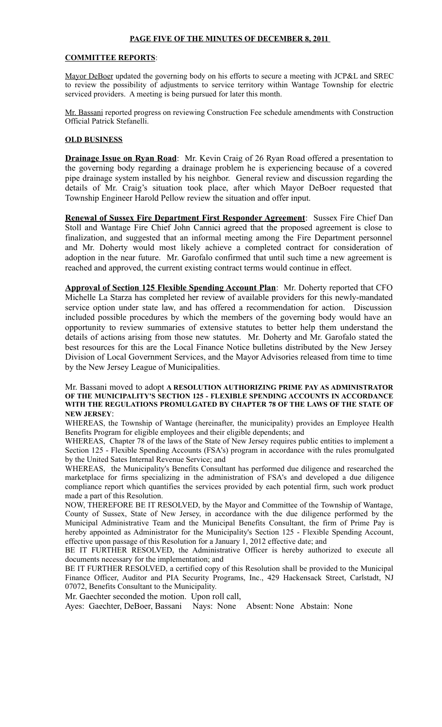### **PAGE FIVE OF THE MINUTES OF DECEMBER 8, 2011**

#### **COMMITTEE REPORTS**:

Mayor DeBoer updated the governing body on his efforts to secure a meeting with JCP&L and SREC to review the possibility of adjustments to service territory within Wantage Township for electric serviced providers. A meeting is being pursued for later this month.

Mr. Bassani reported progress on reviewing Construction Fee schedule amendments with Construction Official Patrick Stefanelli.

#### **OLD BUSINESS**

**Drainage Issue on Ryan Road**: Mr. Kevin Craig of 26 Ryan Road offered a presentation to the governing body regarding a drainage problem he is experiencing because of a covered pipe drainage system installed by his neighbor. General review and discussion regarding the details of Mr. Craig's situation took place, after which Mayor DeBoer requested that Township Engineer Harold Pellow review the situation and offer input.

**Renewal of Sussex Fire Department First Responder Agreement**: Sussex Fire Chief Dan Stoll and Wantage Fire Chief John Cannici agreed that the proposed agreement is close to finalization, and suggested that an informal meeting among the Fire Department personnel and Mr. Doherty would most likely achieve a completed contract for consideration of adoption in the near future. Mr. Garofalo confirmed that until such time a new agreement is reached and approved, the current existing contract terms would continue in effect.

**Approval of Section 125 Flexible Spending Account Plan**: Mr. Doherty reported that CFO Michelle La Starza has completed her review of available providers for this newly-mandated service option under state law, and has offered a recommendation for action. Discussion included possible procedures by which the members of the governing body would have an opportunity to review summaries of extensive statutes to better help them understand the details of actions arising from those new statutes. Mr. Doherty and Mr. Garofalo stated the best resources for this are the Local Finance Notice bulletins distributed by the New Jersey Division of Local Government Services, and the Mayor Advisories released from time to time by the New Jersey League of Municipalities.

#### Mr. Bassani moved to adopt **A RESOLUTION AUTHORIZING PRIME PAY AS ADMINISTRATOR OF THE MUNICIPALITY'S SECTION 125 - FLEXIBLE SPENDING ACCOUNTS IN ACCORDANCE WITH THE REGULATIONS PROMULGATED BY CHAPTER 78 OF THE LAWS OF THE STATE OF NEW JERSEY**:

WHEREAS, the Township of Wantage (hereinafter, the municipality) provides an Employee Health Benefits Program for eligible employees and their eligible dependents; and

WHEREAS, Chapter 78 of the laws of the State of New Jersey requires public entities to implement a Section 125 - Flexible Spending Accounts (FSA's) program in accordance with the rules promulgated by the United Sates Internal Revenue Service; and

WHEREAS, the Municipality's Benefits Consultant has performed due diligence and researched the marketplace for firms specializing in the administration of FSA's and developed a due diligence compliance report which quantifies the services provided by each potential firm, such work product made a part of this Resolution.

NOW, THEREFORE BE IT RESOLVED, by the Mayor and Committee of the Township of Wantage, County of Sussex, State of New Jersey, in accordance with the due diligence performed by the Municipal Administrative Team and the Municipal Benefits Consultant, the firm of Prime Pay is hereby appointed as Administrator for the Municipality's Section 125 - Flexible Spending Account, effective upon passage of this Resolution for a January 1, 2012 effective date; and

BE IT FURTHER RESOLVED, the Administrative Officer is hereby authorized to execute all documents necessary for the implementation; and

BE IT FURTHER RESOLVED, a certified copy of this Resolution shall be provided to the Municipal Finance Officer, Auditor and PIA Security Programs, Inc., 429 Hackensack Street, Carlstadt, NJ 07072, Benefits Consultant to the Municipality.

Mr. Gaechter seconded the motion. Upon roll call,

Ayes: Gaechter, DeBoer, Bassani Nays: None Absent: None Abstain: None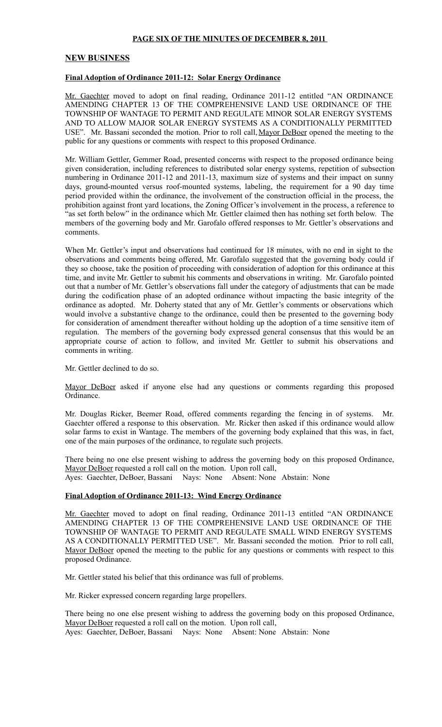### **PAGE SIX OF THE MINUTES OF DECEMBER 8, 2011**

#### **NEW BUSINESS**

#### **Final Adoption of Ordinance 2011-12: Solar Energy Ordinance**

Mr. Gaechter moved to adopt on final reading, Ordinance 2011-12 entitled "AN ORDINANCE AMENDING CHAPTER 13 OF THE COMPREHENSIVE LAND USE ORDINANCE OF THE TOWNSHIP OF WANTAGE TO PERMIT AND REGULATE MINOR SOLAR ENERGY SYSTEMS AND TO ALLOW MAJOR SOLAR ENERGY SYSTEMS AS A CONDITIONALLY PERMITTED USE". Mr. Bassani seconded the motion. Prior to roll call, Mayor DeBoer opened the meeting to the public for any questions or comments with respect to this proposed Ordinance.

Mr. William Gettler, Gemmer Road, presented concerns with respect to the proposed ordinance being given consideration, including references to distributed solar energy systems, repetition of subsection numbering in Ordinance 2011-12 and 2011-13, maximum size of systems and their impact on sunny days, ground-mounted versus roof-mounted systems, labeling, the requirement for a 90 day time period provided within the ordinance, the involvement of the construction official in the process, the prohibition against front yard locations, the Zoning Officer's involvement in the process, a reference to 'as set forth below" in the ordinance which Mr. Gettler claimed then has nothing set forth below. The members of the governing body and Mr. Garofalo offered responses to Mr. Gettler's observations and comments.

When Mr. Gettler's input and observations had continued for 18 minutes, with no end in sight to the observations and comments being offered, Mr. Garofalo suggested that the governing body could if they so choose, take the position of proceeding with consideration of adoption for this ordinance at this time, and invite Mr. Gettler to submit his comments and observations in writing. Mr. Garofalo pointed out that a number of Mr. Gettler's observations fall under the category of adjustments that can be made during the codification phase of an adopted ordinance without impacting the basic integrity of the ordinance as adopted. Mr. Doherty stated that any of Mr. Gettler's comments or observations which would involve a substantive change to the ordinance, could then be presented to the governing body for consideration of amendment thereafter without holding up the adoption of a time sensitive item of regulation. The members of the governing body expressed general consensus that this would be an appropriate course of action to follow, and invited Mr. Gettler to submit his observations and comments in writing.

Mr. Gettler declined to do so.

Mayor DeBoer asked if anyone else had any questions or comments regarding this proposed Ordinance.

Mr. Douglas Ricker, Beemer Road, offered comments regarding the fencing in of systems. Mr. Gaechter offered a response to this observation. Mr. Ricker then asked if this ordinance would allow solar farms to exist in Wantage. The members of the governing body explained that this was, in fact, one of the main purposes of the ordinance, to regulate such projects.

There being no one else present wishing to address the governing body on this proposed Ordinance, Mayor DeBoer requested a roll call on the motion. Upon roll call, Ayes: Gaechter, DeBoer, Bassani Nays: None Absent: None Abstain: None

### **Final Adoption of Ordinance 2011-13: Wind Energy Ordinance**

Mr. Gaechter moved to adopt on final reading, Ordinance 2011-13 entitled "AN ORDINANCE AMENDING CHAPTER 13 OF THE COMPREHENSIVE LAND USE ORDINANCE OF THE TOWNSHIP OF WANTAGE TO PERMIT AND REGULATE SMALL WIND ENERGY SYSTEMS AS A CONDITIONALLY PERMITTED USE". Mr. Bassani seconded the motion. Prior to roll call, Mayor DeBoer opened the meeting to the public for any questions or comments with respect to this proposed Ordinance.

Mr. Gettler stated his belief that this ordinance was full of problems.

Mr. Ricker expressed concern regarding large propellers.

There being no one else present wishing to address the governing body on this proposed Ordinance, Mayor DeBoer requested a roll call on the motion. Upon roll call, Ayes: Gaechter, DeBoer, Bassani Nays: None Absent: None Abstain: None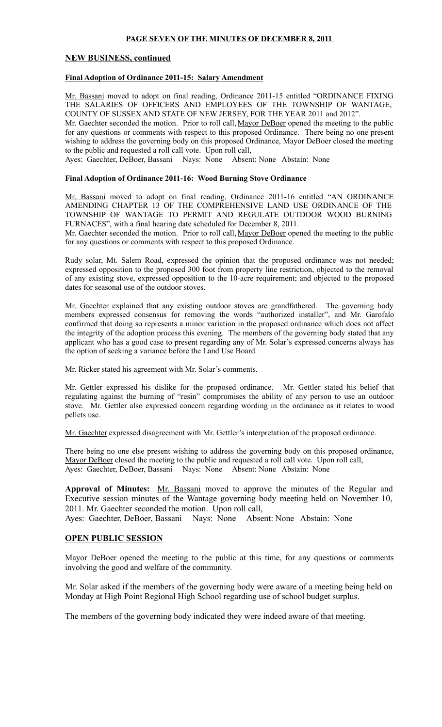### **PAGE SEVEN OF THE MINUTES OF DECEMBER 8, 2011**

### **NEW BUSINESS, continued**

### **Final Adoption of Ordinance 2011-15: Salary Amendment**

Mr. Bassani moved to adopt on final reading, Ordinance 2011-15 entitled "ORDINANCE FIXING THE SALARIES OF OFFICERS AND EMPLOYEES OF THE TOWNSHIP OF WANTAGE, COUNTY OF SUSSEX AND STATE OF NEW JERSEY, FOR THE YEAR 2011 and 2012".

Mr. Gaechter seconded the motion. Prior to roll call, Mayor DeBoer opened the meeting to the public for any questions or comments with respect to this proposed Ordinance. There being no one present wishing to address the governing body on this proposed Ordinance, Mayor DeBoer closed the meeting to the public and requested a roll call vote. Upon roll call,

Ayes: Gaechter, DeBoer, Bassani Nays: None Absent: None Abstain: None

#### **Final Adoption of Ordinance 2011-16: Wood Burning Stove Ordinance**

Mr. Bassani moved to adopt on final reading, Ordinance 2011-16 entitled "AN ORDINANCE AMENDING CHAPTER 13 OF THE COMPREHENSIVE LAND USE ORDINANCE OF THE TOWNSHIP OF WANTAGE TO PERMIT AND REGULATE OUTDOOR WOOD BURNING FURNACES", with a final hearing date scheduled for December 8, 2011.

Mr. Gaechter seconded the motion. Prior to roll call, Mayor DeBoer opened the meeting to the public for any questions or comments with respect to this proposed Ordinance.

Rudy solar, Mt. Salem Road, expressed the opinion that the proposed ordinance was not needed; expressed opposition to the proposed 300 foot from property line restriction, objected to the removal of any existing stove, expressed opposition to the 10-acre requirement; and objected to the proposed dates for seasonal use of the outdoor stoves.

Mr. Gaechter explained that any existing outdoor stoves are grandfathered. The governing body members expressed consensus for removing the words "authorized installer", and Mr. Garofalo confirmed that doing so represents a minor variation in the proposed ordinance which does not affect the integrity of the adoption process this evening. The members of the governing body stated that any applicant who has a good case to present regarding any of Mr. Solar's expressed concerns always has the option of seeking a variance before the Land Use Board.

Mr. Ricker stated his agreement with Mr. Solar's comments.

Mr. Gettler expressed his dislike for the proposed ordinance. Mr. Gettler stated his belief that regulating against the burning of "resin" compromises the ability of any person to use an outdoor stove. Mr. Gettler also expressed concern regarding wording in the ordinance as it relates to wood pellets use.

Mr. Gaechter expressed disagreement with Mr. Gettler's interpretation of the proposed ordinance.

There being no one else present wishing to address the governing body on this proposed ordinance, Mayor DeBoer closed the meeting to the public and requested a roll call vote. Upon roll call, Ayes: Gaechter, DeBoer, Bassani Nays: None Absent: None Abstain: None

**Approval of Minutes:** Mr. Bassani moved to approve the minutes of the Regular and Executive session minutes of the Wantage governing body meeting held on November 10, 2011. Mr. Gaechter seconded the motion. Upon roll call, Ayes: Gaechter, DeBoer, Bassani Nays: None Absent: None Abstain: None

### **OPEN PUBLIC SESSION**

Mayor DeBoer opened the meeting to the public at this time, for any questions or comments involving the good and welfare of the community.

Mr. Solar asked if the members of the governing body were aware of a meeting being held on Monday at High Point Regional High School regarding use of school budget surplus.

The members of the governing body indicated they were indeed aware of that meeting.